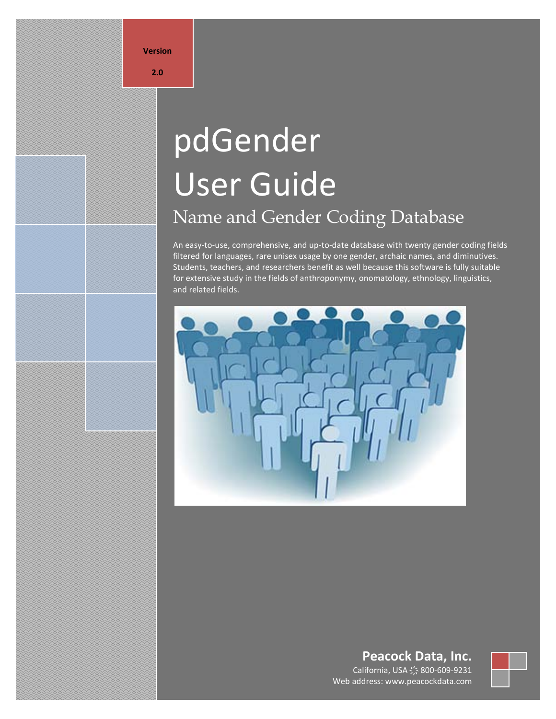**Version**

# pdGender User Guide Name and Gender Coding Database

An easy-to-use, comprehensive, and up-to-date database with twenty gender coding fields filtered for languages, rare unisex usage by one gender, archaic names, and diminutives. Students, teachers, and researchers benefit as well because this software is fully suitable for extensive study in the fields of anthroponymy, onomatology, ethnology, linguistics, and related fields.



# **Peacock Data, Inc.**

California, USA **҉** 800-609-9231 Web address: www.peacockdata.com



**2.0**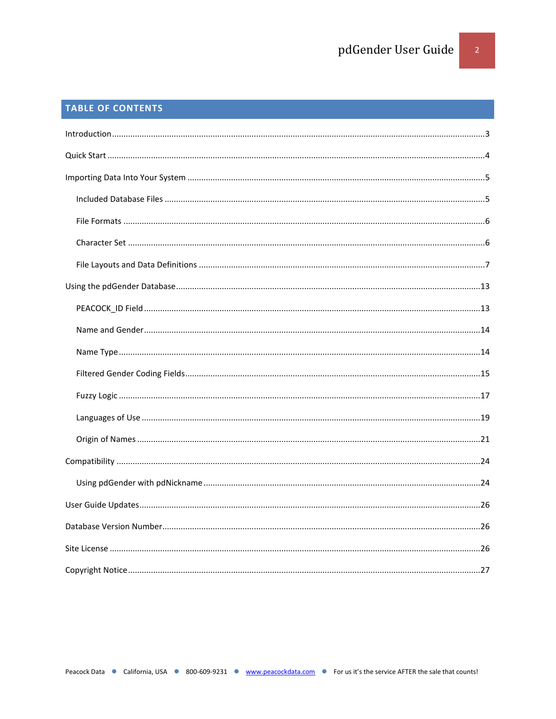# TABLE OF CONTENTS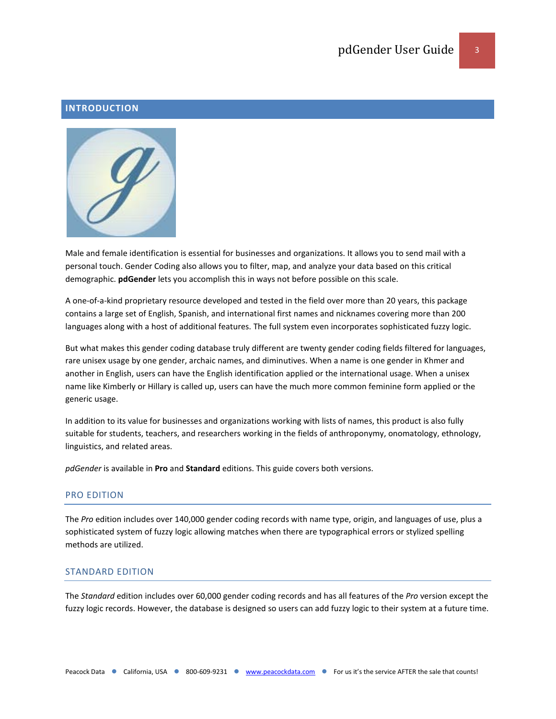# <span id="page-2-0"></span>**INTRODUCTION**



Male and female identification is essential for businesses and organizations. It allows you to send mail with a personal touch. Gender Coding also allows you to filter, map, and analyze your data based on this critical demographic. **pdGender** lets you accomplish this in ways not before possible on this scale.

A one-of-a-kind proprietary resource developed and tested in the field over more than 20 years, this package contains a large set of English, Spanish, and international first names and nicknames covering more than 200 languages along with a host of additional features. The full system even incorporates sophisticated fuzzy logic.

But what makes this gender coding database truly different are twenty gender coding fields filtered for languages, rare unisex usage by one gender, archaic names, and diminutives. When a name is one gender in Khmer and another in English, users can have the English identification applied or the international usage. When a unisex name like Kimberly or Hillary is called up, users can have the much more common feminine form applied or the generic usage.

In addition to its value for businesses and organizations working with lists of names, this product is also fully suitable for students, teachers, and researchers working in the fields of anthroponymy, onomatology, ethnology, linguistics, and related areas.

*pdGender* is available in **Pro** and **Standard** editions. This guide covers both versions.

#### PRO EDITION

The *Pro* edition includes over 140,000 gender coding records with name type, origin, and languages of use, plus a sophisticated system of fuzzy logic allowing matches when there are typographical errors or stylized spelling methods are utilized.

#### STANDARD EDITION

The *Standard* edition includes over 60,000 gender coding records and has all features of the *Pro* version except the fuzzy logic records. However, the database is designed so users can add fuzzy logic to their system at a future time.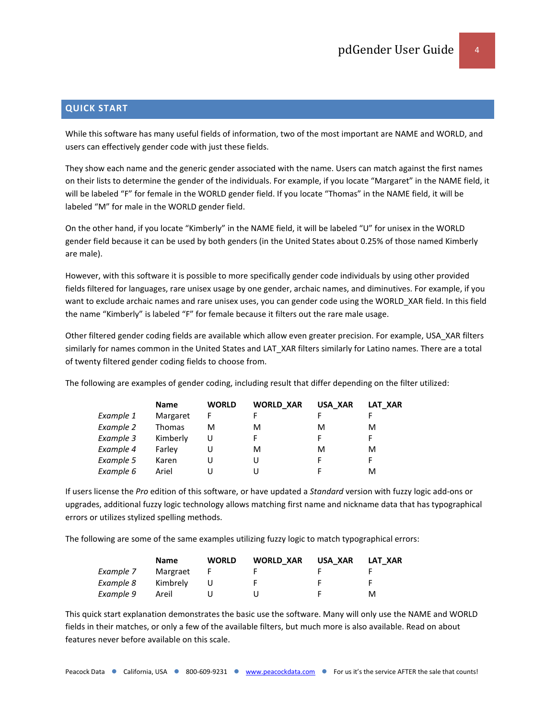# <span id="page-3-0"></span>**QUICK START**

While this software has many useful fields of information, two of the most important are NAME and WORLD, and users can effectively gender code with just these fields.

They show each name and the generic gender associated with the name. Users can match against the first names on their lists to determine the gender of the individuals. For example, if you locate "Margaret" in the NAME field, it will be labeled "F" for female in the WORLD gender field. If you locate "Thomas" in the NAME field, it will be labeled "M" for male in the WORLD gender field.

On the other hand, if you locate "Kimberly" in the NAME field, it will be labeled "U" for unisex in the WORLD gender field because it can be used by both genders (in the United States about 0.25% of those named Kimberly are male).

However, with this software it is possible to more specifically gender code individuals by using other provided fields filtered for languages, rare unisex usage by one gender, archaic names, and diminutives. For example, if you want to exclude archaic names and rare unisex uses, you can gender code using the WORLD\_XAR field. In this field the name "Kimberly" is labeled "F" for female because it filters out the rare male usage.

Other filtered gender coding fields are available which allow even greater precision. For example, USA\_XAR filters similarly for names common in the United States and LAT\_XAR filters similarly for Latino names. There are a total of twenty filtered gender coding fields to choose from.

The following are examples of gender coding, including result that differ depending on the filter utilized:

|           | <b>Name</b> | <b>WORLD</b> | <b>WORLD XAR</b> | USA XAR | LAT XAR |
|-----------|-------------|--------------|------------------|---------|---------|
| Example 1 | Margaret    | F            |                  |         |         |
| Example 2 | Thomas      | м            | м                | м       | м       |
| Example 3 | Kimberly    | U            |                  |         |         |
| Example 4 | Farley      |              | м                | м       | м       |
| Example 5 | Karen       |              |                  |         |         |
| Example 6 | Ariel       |              |                  |         | м       |

If users license the *Pro* edition of this software, or have updated a *Standard* version with fuzzy logic add-ons or upgrades, additional fuzzy logic technology allows matching first name and nickname data that has typographical errors or utilizes stylized spelling methods.

The following are some of the same examples utilizing fuzzy logic to match typographical errors:

|           | <b>Name</b> | <b>WORLD</b> | <b>WORLD XAR</b> | USA XAR | LAT XAR |
|-----------|-------------|--------------|------------------|---------|---------|
| Example 7 | Margraet    |              |                  |         |         |
| Example 8 | Kimbrelv    |              |                  |         |         |
| Example 9 | Areil       |              |                  |         | м       |

This quick start explanation demonstrates the basic use the software. Many will only use the NAME and WORLD fields in their matches, or only a few of the available filters, but much more is also available. Read on about features never before available on this scale.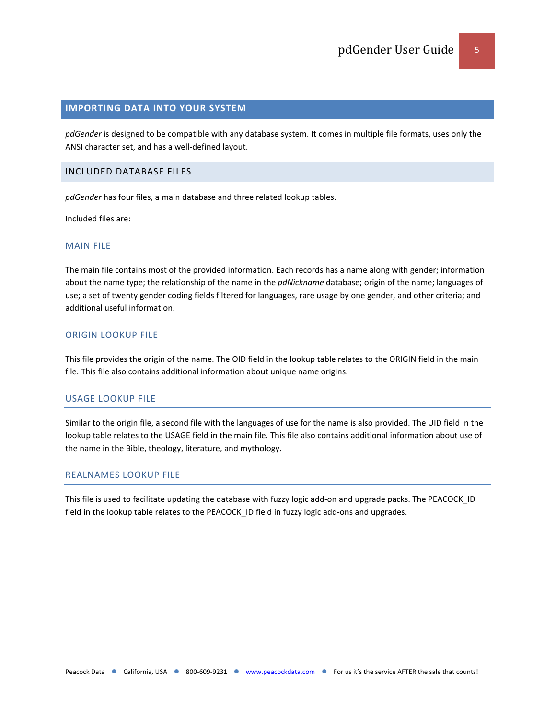#### <span id="page-4-0"></span>**IMPORTING DATA INTO YOUR SYSTEM**

*pdGender* is designed to be compatible with any database system. It comes in multiple file formats, uses only the ANSI character set, and has a well-defined layout.

# <span id="page-4-1"></span>INCLUDED DATABASE FILES

*pdGender* has four files, a main database and three related lookup tables.

Included files are:

#### MAIN FILE

The main file contains most of the provided information. Each records has a name along with gender; information about the name type; the relationship of the name in the *pdNickname* database; origin of the name; languages of use; a set of twenty gender coding fields filtered for languages, rare usage by one gender, and other criteria; and additional useful information.

# ORIGIN LOOKUP FILE

This file provides the origin of the name. The OID field in the lookup table relates to the ORIGIN field in the main file. This file also contains additional information about unique name origins.

#### USAGE LOOKUP FILE

Similar to the origin file, a second file with the languages of use for the name is also provided. The UID field in the lookup table relates to the USAGE field in the main file. This file also contains additional information about use of the name in the Bible, theology, literature, and mythology.

# REALNAMES LOOKUP FILE

This file is used to facilitate updating the database with fuzzy logic add-on and upgrade packs. The PEACOCK\_ID field in the lookup table relates to the PEACOCK\_ID field in fuzzy logic add-ons and upgrades.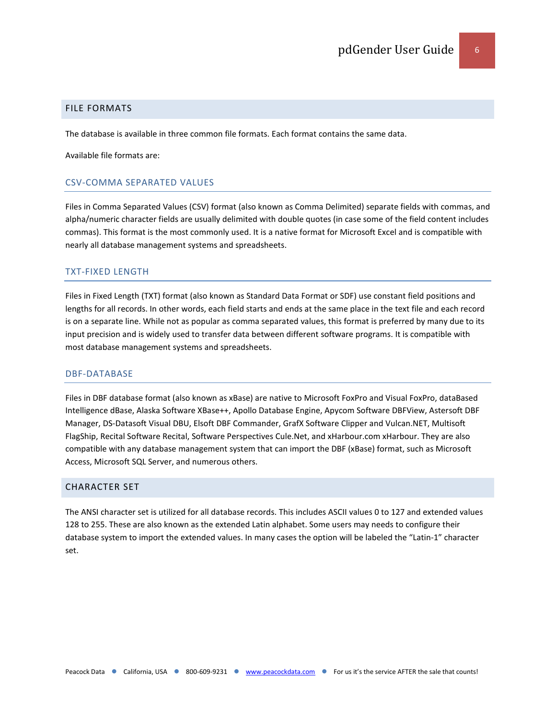#### <span id="page-5-0"></span>FILE FORMATS

The database is available in three common file formats. Each format contains the same data.

Available file formats are:

# CSV-COMMA SEPARATED VALUES

Files in Comma Separated Values (CSV) format (also known as Comma Delimited) separate fields with commas, and alpha/numeric character fields are usually delimited with double quotes (in case some of the field content includes commas). This format is the most commonly used. It is a native format for Microsoft Excel and is compatible with nearly all database management systems and spreadsheets.

# TXT-FIXED LENGTH

Files in Fixed Length (TXT) format (also known as Standard Data Format or SDF) use constant field positions and lengths for all records. In other words, each field starts and ends at the same place in the text file and each record is on a separate line. While not as popular as comma separated values, this format is preferred by many due to its input precision and is widely used to transfer data between different software programs. It is compatible with most database management systems and spreadsheets.

#### DBF-DATABASE

Files in DBF database format (also known as xBase) are native to Microsoft FoxPro and Visual FoxPro, dataBased Intelligence dBase, Alaska Software XBase++, Apollo Database Engine, Apycom Software DBFView, Astersoft DBF Manager, DS-Datasoft Visual DBU, Elsoft DBF Commander, GrafX Software Clipper and Vulcan.NET, Multisoft FlagShip, Recital Software Recital, Software Perspectives Cule.Net, and xHarbour.com xHarbour. They are also compatible with any database management system that can import the DBF (xBase) format, such as Microsoft Access, Microsoft SQL Server, and numerous others.

#### <span id="page-5-1"></span>CHARACTER SET

The ANSI character set is utilized for all database records. This includes ASCII values 0 to 127 and extended values 128 to 255. These are also known as the extended Latin alphabet. Some users may needs to configure their database system to import the extended values. In many cases the option will be labeled the "Latin-1" character set.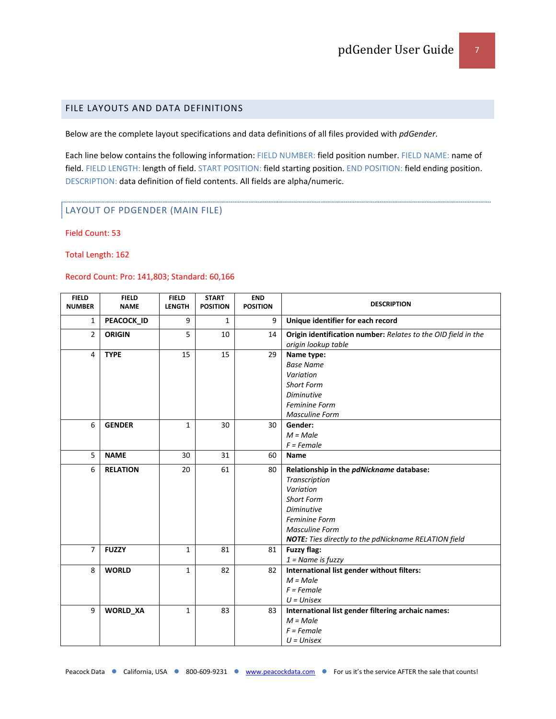# <span id="page-6-0"></span>FILE LAYOUTS AND DATA DEFINITIONS

Below are the complete layout specifications and data definitions of all files provided with *pdGender*.

Each line below contains the following information: FIELD NUMBER: field position number. FIELD NAME: name of field. FIELD LENGTH: length of field. START POSITION: field starting position. END POSITION: field ending position. DESCRIPTION: data definition of field contents. All fields are alpha/numeric.

#### LAYOUT OF PDGENDER (MAIN FILE)

Field Count: 53

Total Length: 162

#### Record Count: Pro: 141,803; Standard: 60,166

| <b>FIELD</b>   | <b>FIELD</b>    | <b>FIELD</b>  | <b>START</b>    | <b>END</b>      | <b>DESCRIPTION</b>                                            |  |
|----------------|-----------------|---------------|-----------------|-----------------|---------------------------------------------------------------|--|
| <b>NUMBER</b>  | <b>NAME</b>     | <b>LENGTH</b> | <b>POSITION</b> | <b>POSITION</b> |                                                               |  |
| 1              | PEACOCK_ID      | 9             | 1               | 9               | Unique identifier for each record                             |  |
| $\overline{2}$ | <b>ORIGIN</b>   | 5             | 10              | 14              | Origin identification number: Relates to the OID field in the |  |
|                |                 |               |                 |                 | origin lookup table                                           |  |
| 4              | <b>TYPE</b>     | 15            | 15              | 29              | Name type:                                                    |  |
|                |                 |               |                 |                 | <b>Base Name</b>                                              |  |
|                |                 |               |                 |                 | Variation                                                     |  |
|                |                 |               |                 |                 | <b>Short Form</b>                                             |  |
|                |                 |               |                 |                 | Diminutive                                                    |  |
|                |                 |               |                 |                 | Feminine Form                                                 |  |
|                |                 |               |                 |                 | <b>Masculine Form</b>                                         |  |
| 6              | <b>GENDER</b>   | $\mathbf{1}$  | 30              | 30              | Gender:                                                       |  |
|                |                 |               |                 |                 | $M = Male$                                                    |  |
|                |                 |               |                 |                 | $F = Female$                                                  |  |
| 5              | <b>NAME</b>     | 30            | 31              | 60              | Name                                                          |  |
| 6              | <b>RELATION</b> | 20            | 61              | 80              | Relationship in the pdNickname database:                      |  |
|                |                 |               |                 |                 | Transcription                                                 |  |
|                |                 |               |                 |                 | Variation                                                     |  |
|                |                 |               |                 |                 | <b>Short Form</b>                                             |  |
|                |                 |               |                 |                 | Diminutive                                                    |  |
|                |                 |               |                 |                 | <b>Feminine Form</b>                                          |  |
|                |                 |               |                 |                 | <b>Masculine Form</b>                                         |  |
|                |                 |               |                 |                 | NOTE: Ties directly to the pdNickname RELATION field          |  |
| $\overline{7}$ | <b>FUZZY</b>    | $\mathbf{1}$  | 81              | 81              | <b>Fuzzy flag:</b>                                            |  |
|                |                 |               |                 |                 | $1 = Name$ is fuzzy                                           |  |
| 8              | <b>WORLD</b>    | 1             | 82              | 82              | International list gender without filters:                    |  |
|                |                 |               |                 |                 | $M = Male$                                                    |  |
|                |                 |               |                 |                 | $F = Female$                                                  |  |
|                |                 |               |                 |                 | $U = Unisex$                                                  |  |
| 9              | WORLD_XA        | $\mathbf{1}$  | 83              | 83              | International list gender filtering archaic names:            |  |
|                |                 |               |                 |                 | $M = Male$                                                    |  |
|                |                 |               |                 |                 | $F = Female$                                                  |  |
|                |                 |               |                 |                 | $U = Unisex$                                                  |  |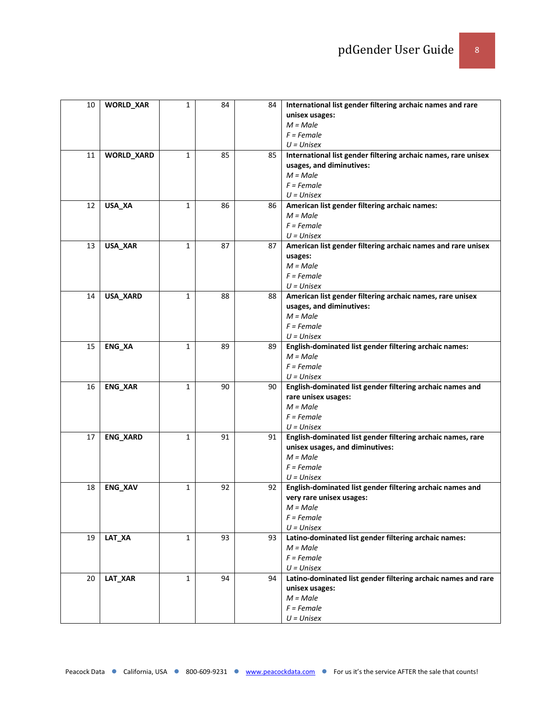| 10 | WORLD_XAR  | $\mathbf{1}$ | 84 | 84 | International list gender filtering archaic names and rare<br>unisex usages:<br>$M = Male$<br>$F = Female$<br>$U =$ Unisex                   |  |
|----|------------|--------------|----|----|----------------------------------------------------------------------------------------------------------------------------------------------|--|
| 11 | WORLD_XARD | 1            | 85 | 85 | International list gender filtering archaic names, rare unisex<br>usages, and diminutives:<br>$M = Male$<br>$F = Female$<br>$U =$ Unisex     |  |
| 12 | USA_XA     | 1            | 86 | 86 | American list gender filtering archaic names:<br>$M = Male$<br>$F = Female$<br>$U =$ Unisex                                                  |  |
| 13 | USA_XAR    | 1            | 87 | 87 | American list gender filtering archaic names and rare unisex<br>usages:<br>$M = Male$<br>$F = Female$<br>$U =$ Unisex                        |  |
| 14 | USA_XARD   | $\mathbf{1}$ | 88 | 88 | American list gender filtering archaic names, rare unisex<br>usages, and diminutives:<br>$M = Male$<br>$F = Female$<br>$U = Unisex$          |  |
| 15 | ENG_XA     | 1            | 89 | 89 | English-dominated list gender filtering archaic names:<br>$M = Male$<br>$F = Female$<br>$U =$ Unisex                                         |  |
| 16 | ENG_XAR    | 1            | 90 | 90 | English-dominated list gender filtering archaic names and<br>rare unisex usages:<br>$M = Male$<br>$F = Female$<br>$U =$ Unisex               |  |
| 17 | ENG_XARD   | 1            | 91 | 91 | English-dominated list gender filtering archaic names, rare<br>unisex usages, and diminutives:<br>$M = Male$<br>$F = Female$<br>$U =$ Unisex |  |
| 18 | ENG_XAV    | $\mathbf{1}$ | 92 | 92 | English-dominated list gender filtering archaic names and<br>very rare unisex usages:<br>$M = Male$<br>$F = Female$<br>$U =$ Unisex          |  |
| 19 | LAT_XA     | 1            | 93 | 93 | Latino-dominated list gender filtering archaic names:<br>$M = Male$<br>$F = Female$<br>$U =$ Unisex                                          |  |
| 20 | LAT_XAR    | 1            | 94 | 94 | Latino-dominated list gender filtering archaic names and rare<br>unisex usages:<br>$M = Male$<br>$F = Female$<br>$U =$ Unisex                |  |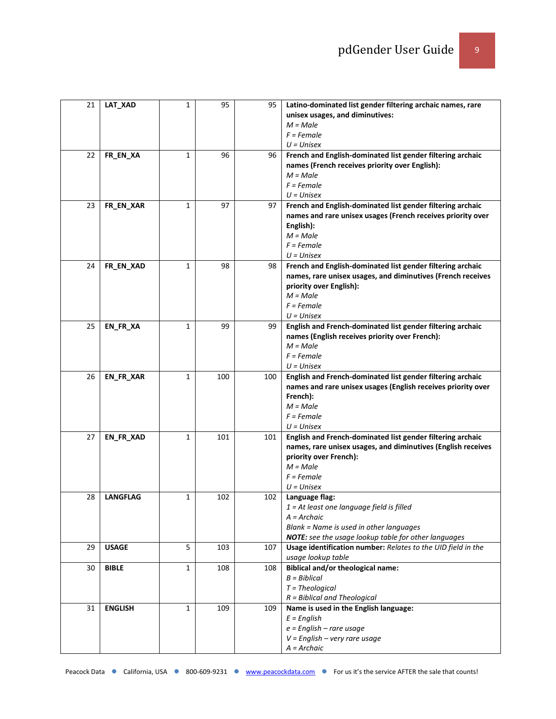| 21 | LAT_XAD         | 1            | 95  | 95  | Latino-dominated list gender filtering archaic names, rare   |  |
|----|-----------------|--------------|-----|-----|--------------------------------------------------------------|--|
|    |                 |              |     |     | unisex usages, and diminutives:                              |  |
|    |                 |              |     |     | $M = Male$                                                   |  |
|    |                 |              |     |     | $F = Female$                                                 |  |
|    |                 |              |     |     | $U = Unisex$                                                 |  |
| 22 | FR_EN_XA        | 1            | 96  | 96  | French and English-dominated list gender filtering archaic   |  |
|    |                 |              |     |     | names (French receives priority over English):               |  |
|    |                 |              |     |     | $M = Male$                                                   |  |
|    |                 |              |     |     | $F = Female$                                                 |  |
|    |                 |              |     |     | $U =$ Unisex                                                 |  |
| 23 | FR_EN_XAR       | $\mathbf{1}$ | 97  | 97  | French and English-dominated list gender filtering archaic   |  |
|    |                 |              |     |     |                                                              |  |
|    |                 |              |     |     | names and rare unisex usages (French receives priority over  |  |
|    |                 |              |     |     | English):                                                    |  |
|    |                 |              |     |     | $M = Male$                                                   |  |
|    |                 |              |     |     | $F = Female$                                                 |  |
|    |                 |              |     |     | $U = Unisex$                                                 |  |
| 24 | FR_EN_XAD       | 1            | 98  | 98  | French and English-dominated list gender filtering archaic   |  |
|    |                 |              |     |     | names, rare unisex usages, and diminutives (French receives  |  |
|    |                 |              |     |     | priority over English):                                      |  |
|    |                 |              |     |     | $M = Male$                                                   |  |
|    |                 |              |     |     | $F = Female$                                                 |  |
|    |                 |              |     |     | $U = Unisex$                                                 |  |
| 25 | EN_FR_XA        | 1            | 99  | 99  | English and French-dominated list gender filtering archaic   |  |
|    |                 |              |     |     | names (English receives priority over French):               |  |
|    |                 |              |     |     | $M = Male$                                                   |  |
|    |                 |              |     |     | $F = Female$                                                 |  |
|    |                 |              |     |     | $U = Unisex$                                                 |  |
| 26 | EN_FR_XAR       | $\mathbf{1}$ | 100 | 100 | English and French-dominated list gender filtering archaic   |  |
|    |                 |              |     |     | names and rare unisex usages (English receives priority over |  |
|    |                 |              |     |     | French):                                                     |  |
|    |                 |              |     |     | $M = Male$                                                   |  |
|    |                 |              |     |     | $F = Female$                                                 |  |
|    |                 |              |     |     | $U =$ Unisex                                                 |  |
| 27 | EN_FR_XAD       | 1            | 101 | 101 | English and French-dominated list gender filtering archaic   |  |
|    |                 |              |     |     | names, rare unisex usages, and diminutives (English receives |  |
|    |                 |              |     |     | priority over French):                                       |  |
|    |                 |              |     |     | $M = Male$                                                   |  |
|    |                 |              |     |     | $F = Female$                                                 |  |
|    |                 |              |     |     | $U =$ Unisex                                                 |  |
| 28 | <b>LANGFLAG</b> | 1            | 102 | 102 | Language flag:                                               |  |
|    |                 |              |     |     | 1 = At least one language field is filled                    |  |
|    |                 |              |     |     | A = Archaic                                                  |  |
|    |                 |              |     |     | Blank = Name is used in other languages                      |  |
|    |                 |              |     |     | NOTE: see the usage lookup table for other languages         |  |
| 29 | <b>USAGE</b>    | 5            | 103 | 107 | Usage identification number: Relates to the UID field in the |  |
|    |                 |              |     |     | usage lookup table                                           |  |
| 30 | <b>BIBLE</b>    | $\mathbf{1}$ | 108 | 108 | <b>Biblical and/or theological name:</b>                     |  |
|    |                 |              |     |     |                                                              |  |
|    |                 |              |     |     | $B = Biblical$                                               |  |
|    |                 |              |     |     | $T = Theological$                                            |  |
|    |                 |              |     |     | $R = B$ iblical and Theological                              |  |
| 31 | <b>ENGLISH</b>  | $\mathbf{1}$ | 109 | 109 | Name is used in the English language:                        |  |
|    |                 |              |     |     | $E =$ English                                                |  |
|    |                 |              |     |     | $e$ = English – rare usage                                   |  |
|    |                 |              |     |     | $V =$ English – very rare usage                              |  |
|    |                 |              |     |     | $A = Archaic$                                                |  |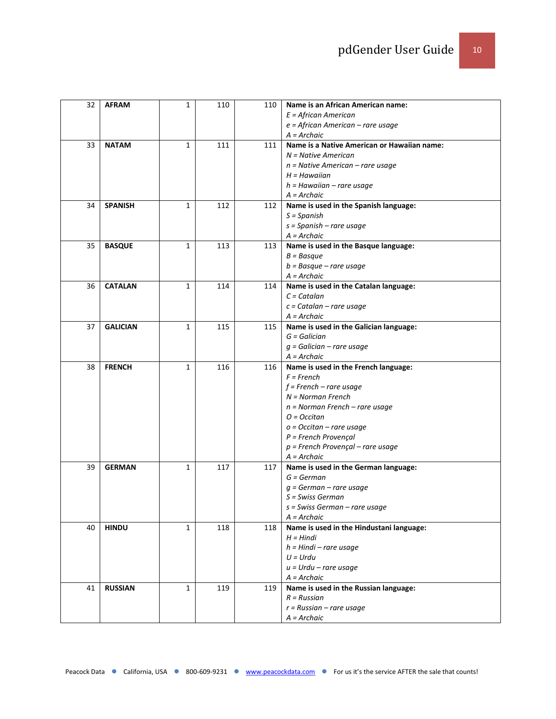| 32 | <b>AFRAM</b>    | 1            | 110 | 110 | Name is an African American name:           |  |
|----|-----------------|--------------|-----|-----|---------------------------------------------|--|
|    |                 |              |     |     | $E =$ African American                      |  |
|    |                 |              |     |     | $e =$ African American – rare usage         |  |
|    |                 |              |     |     | $A = Archaic$                               |  |
| 33 | <b>NATAM</b>    | 1            | 111 | 111 | Name is a Native American or Hawaiian name: |  |
|    |                 |              |     |     | $N =$ Native American                       |  |
|    |                 |              |     |     | $n$ = Native American – rare usage          |  |
|    |                 |              |     |     | $H =$ Hawaiian                              |  |
|    |                 |              |     |     | $h =$ Hawaiian – rare usage                 |  |
|    |                 |              |     |     | $A = Archaic$                               |  |
| 34 | <b>SPANISH</b>  | 1            | 112 | 112 | Name is used in the Spanish language:       |  |
|    |                 |              |     |     | $S =$ Spanish                               |  |
|    |                 |              |     |     | $s =$ Spanish – rare usage                  |  |
|    |                 |              |     |     | $A = Archaic$                               |  |
| 35 | <b>BASQUE</b>   | 1            | 113 | 113 | Name is used in the Basque language:        |  |
|    |                 |              |     |     | $B =$ Basque                                |  |
|    |                 |              |     |     | $b =$ Basque – rare usage                   |  |
|    |                 |              |     |     | $A = Archaic$                               |  |
| 36 | <b>CATALAN</b>  | 1            | 114 | 114 | Name is used in the Catalan language:       |  |
|    |                 |              |     |     | $C =$ Catalan                               |  |
|    |                 |              |     |     | $c =$ Catalan – rare usage                  |  |
|    |                 |              |     |     | A = Archaic                                 |  |
| 37 | <b>GALICIAN</b> | 1            | 115 | 115 | Name is used in the Galician language:      |  |
|    |                 |              |     |     | $G = Galician$                              |  |
|    |                 |              |     |     | $g$ = Galician – rare usage                 |  |
|    |                 |              |     |     | A = Archaic                                 |  |
| 38 | <b>FRENCH</b>   | 1            | 116 | 116 | Name is used in the French language:        |  |
|    |                 |              |     |     | $F = French$                                |  |
|    |                 |              |     |     | $f$ = French – rare usage                   |  |
|    |                 |              |     |     | $N = Norman$ French                         |  |
|    |                 |              |     |     | $n = Norman$ French – rare usage            |  |
|    |                 |              |     |     | $Q = Occitan$                               |  |
|    |                 |              |     |     | $o = Occitan - rare usage$                  |  |
|    |                 |              |     |     | $P =$ French Provençal                      |  |
|    |                 |              |     |     | $p$ = French Provençal – rare usage         |  |
|    |                 |              |     |     | $A = Archaic$                               |  |
| 39 | <b>GERMAN</b>   | 1            | 117 | 117 | Name is used in the German language:        |  |
|    |                 |              |     |     | G = German                                  |  |
|    |                 |              |     |     | $g = German - rare usage$                   |  |
|    |                 |              |     |     | S = Swiss German                            |  |
|    |                 |              |     |     | s = Swiss German - rare usage               |  |
|    |                 |              |     |     | A = Archaic                                 |  |
| 40 | <b>HINDU</b>    | 1            | 118 | 118 | Name is used in the Hindustani language:    |  |
|    |                 |              |     |     | $H = Hindi$                                 |  |
|    |                 |              |     |     | $h = H$ indi – rare usage                   |  |
|    |                 |              |     |     | $U = Urdu$                                  |  |
|    |                 |              |     |     | $u = Urdu - rare$ usage                     |  |
|    |                 |              |     |     | $A = Archaic$                               |  |
| 41 | <b>RUSSIAN</b>  | $\mathbf{1}$ | 119 | 119 | Name is used in the Russian language:       |  |
|    |                 |              |     |     | $R = Russian$                               |  |
|    |                 |              |     |     | $r = Russian - rare usage$                  |  |
|    |                 |              |     |     | $A = Archaic$                               |  |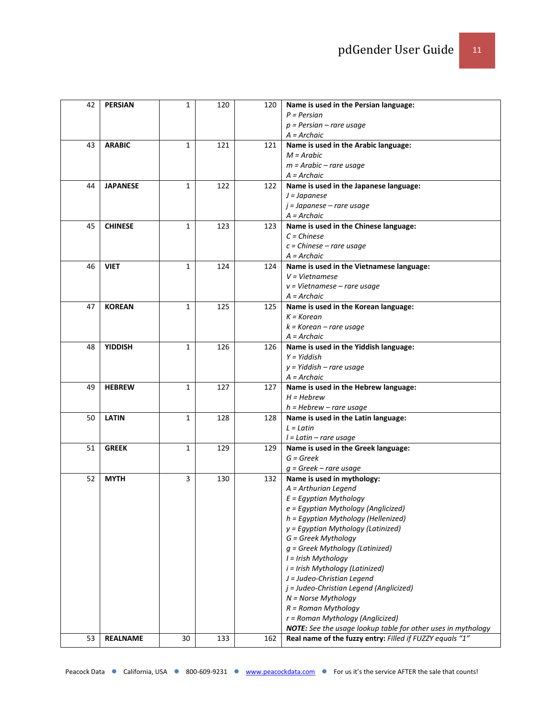| 42 | <b>PERSIAN</b>  | 1            | 120 | 120 | Name is used in the Persian language:                        |  |
|----|-----------------|--------------|-----|-----|--------------------------------------------------------------|--|
|    |                 |              |     |     | $P = Persian$                                                |  |
|    |                 |              |     |     | $p =$ Persian – rare usage                                   |  |
|    |                 |              |     |     | $A = Archaic$                                                |  |
| 43 | <b>ARABIC</b>   | $\mathbf{1}$ | 121 | 121 | Name is used in the Arabic language:                         |  |
|    |                 |              |     |     | $M = Arabic$                                                 |  |
|    |                 |              |     |     |                                                              |  |
|    |                 |              |     |     | $m = Arabic - rare usage$                                    |  |
|    |                 |              |     |     | A = Archaic                                                  |  |
| 44 | <b>JAPANESE</b> | $\mathbf{1}$ | 122 | 122 | Name is used in the Japanese language:                       |  |
|    |                 |              |     |     | $J = Japanese$                                               |  |
|    |                 |              |     |     | $j = Japanese - rare usage$                                  |  |
|    |                 |              |     |     | $A = Archaic$                                                |  |
| 45 | <b>CHINESE</b>  | $\mathbf{1}$ | 123 | 123 | Name is used in the Chinese language:                        |  |
|    |                 |              |     |     | $C = Chinese$                                                |  |
|    |                 |              |     |     | $c = Chinese - rare usage$                                   |  |
|    |                 |              |     |     | $A = Archaic$                                                |  |
| 46 | <b>VIET</b>     | $\mathbf{1}$ | 124 | 124 | Name is used in the Vietnamese language:                     |  |
|    |                 |              |     |     | $V = Vietnames$                                              |  |
|    |                 |              |     |     | $v$ = Vietnamese – rare usage                                |  |
|    |                 |              |     |     | $A = Archaic$                                                |  |
| 47 | <b>KOREAN</b>   | 1            | 125 | 125 | Name is used in the Korean language:                         |  |
|    |                 |              |     |     | $K = K$ orean                                                |  |
|    |                 |              |     |     | $k$ = Korean – rare usage                                    |  |
|    |                 |              |     |     | $A = Archaic$                                                |  |
|    |                 |              |     |     |                                                              |  |
| 48 | <b>YIDDISH</b>  | 1            | 126 | 126 | Name is used in the Yiddish language:                        |  |
|    |                 |              |     |     | $Y = Yiddish$                                                |  |
|    |                 |              |     |     | $y = Yiddish - rare usage$                                   |  |
|    |                 |              |     |     | $A = Archaic$                                                |  |
| 49 | <b>HEBREW</b>   | $\mathbf{1}$ | 127 | 127 | Name is used in the Hebrew language:                         |  |
|    |                 |              |     |     | $H = Hebrew$                                                 |  |
|    |                 |              |     |     | $h = Hebrew - rare usage$                                    |  |
| 50 | <b>LATIN</b>    | 1            | 128 | 128 | Name is used in the Latin language:                          |  |
|    |                 |              |     |     | $L = Latin$                                                  |  |
|    |                 |              |     |     | $l =$ Latin – rare usage                                     |  |
| 51 | <b>GREEK</b>    | 1            | 129 | 129 | Name is used in the Greek language:                          |  |
|    |                 |              |     |     | $G = Greek$                                                  |  |
|    |                 |              |     |     | $g = \text{Greek} - \text{rare usage}$                       |  |
| 52 | <b>MYTH</b>     | 3            | 130 | 132 | Name is used in mythology:                                   |  |
|    |                 |              |     |     | A = Arthurian Legend                                         |  |
|    |                 |              |     |     | $E =$ Egyptian Mythology                                     |  |
|    |                 |              |     |     | e = Egyptian Mythology (Anglicized)                          |  |
|    |                 |              |     |     | h = Egyptian Mythology (Hellenized)                          |  |
|    |                 |              |     |     | y = Egyptian Mythology (Latinized)                           |  |
|    |                 |              |     |     | G = Greek Mythology                                          |  |
|    |                 |              |     |     | g = Greek Mythology (Latinized)                              |  |
|    |                 |              |     |     | I = Irish Mythology                                          |  |
|    |                 |              |     |     | i = Irish Mythology (Latinized)                              |  |
|    |                 |              |     |     | J = Judeo-Christian Legend                                   |  |
|    |                 |              |     |     |                                                              |  |
|    |                 |              |     |     | j = Judeo-Christian Legend (Anglicized)                      |  |
|    |                 |              |     |     | $N = N$ orse Mythology                                       |  |
|    |                 |              |     |     | $R = Roman Mythology$                                        |  |
|    |                 |              |     |     | r = Roman Mythology (Anglicized)                             |  |
|    |                 |              |     |     | NOTE: See the usage lookup table for other uses in mythology |  |
| 53 | <b>REALNAME</b> | 30           | 133 | 162 | Real name of the fuzzy entry: Filled if FUZZY equals "1"     |  |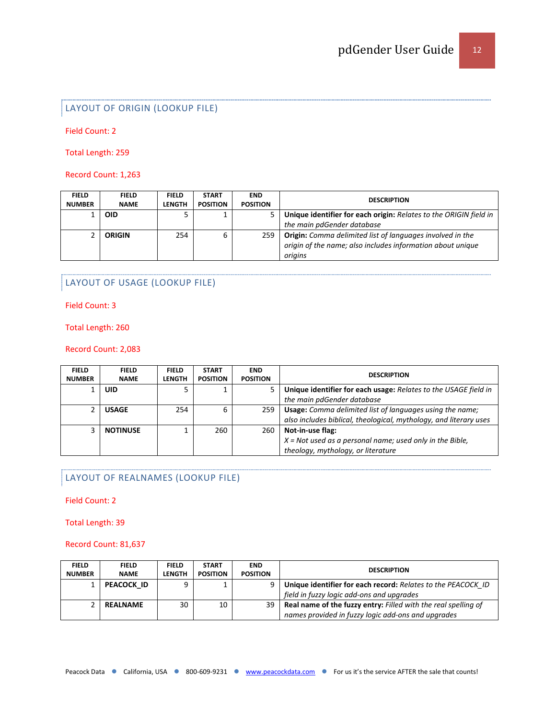# LAYOUT OF ORIGIN (LOOKUP FILE)

Field Count: 2

Total Length: 259

Record Count: 1,263

| <b>FIELD</b><br><b>NUMBER</b> | <b>FIELD</b><br><b>NAME</b> | <b>FIELD</b><br><b>LENGTH</b> | <b>START</b><br><b>POSITION</b> | <b>END</b><br><b>POSITION</b> | <b>DESCRIPTION</b>                                                                                                                        |
|-------------------------------|-----------------------------|-------------------------------|---------------------------------|-------------------------------|-------------------------------------------------------------------------------------------------------------------------------------------|
|                               | <b>OID</b>                  |                               |                                 |                               | Unique identifier for each origin: Relates to the ORIGIN field in<br>the main pdGender database                                           |
|                               | <b>ORIGIN</b>               | 254                           | 6                               | 259                           | <b>Origin:</b> Comma delimited list of languages involved in the<br>origin of the name; also includes information about unique<br>origins |

# LAYOUT OF USAGE (LOOKUP FILE)

Field Count: 3

Total Length: 260

Record Count: 2,083

| <b>FIELD</b><br><b>NUMBER</b> | <b>FIELD</b><br><b>NAME</b> | <b>FIELD</b><br><b>LENGTH</b> | <b>START</b><br><b>POSITION</b> | <b>END</b><br><b>POSITION</b> | <b>DESCRIPTION</b>                                                |  |
|-------------------------------|-----------------------------|-------------------------------|---------------------------------|-------------------------------|-------------------------------------------------------------------|--|
|                               | UID                         |                               |                                 |                               | Unique identifier for each usage: Relates to the USAGE field in   |  |
|                               |                             |                               |                                 |                               | the main pdGender database                                        |  |
|                               | <b>USAGE</b>                | 254                           | 6                               | 259                           | Usage: Comma delimited list of languages using the name;          |  |
|                               |                             |                               |                                 |                               | also includes biblical, theological, mythology, and literary uses |  |
|                               | <b>NOTINUSE</b>             |                               | 260                             | 260                           | Not-in-use flag:                                                  |  |
|                               |                             |                               |                                 |                               | $X = Not$ used as a personal name; used only in the Bible,        |  |
|                               |                             |                               |                                 |                               | theology, mythology, or literature                                |  |

# LAYOUT OF REALNAMES (LOOKUP FILE)

Field Count: 2

Total Length: 39

# Record Count: 81,637

| <b>FIELD</b><br><b>NUMBER</b> | <b>FIELD</b><br><b>NAME</b> | <b>FIELD</b><br><b>LENGTH</b> | <b>START</b><br><b>POSITION</b> | <b>END</b><br><b>POSITION</b> | <b>DESCRIPTION</b>                                                    |  |
|-------------------------------|-----------------------------|-------------------------------|---------------------------------|-------------------------------|-----------------------------------------------------------------------|--|
|                               |                             |                               |                                 |                               |                                                                       |  |
|                               | PEACOCK ID                  |                               |                                 | 9                             | Unique identifier for each record: Relates to the PEACOCK ID          |  |
|                               |                             |                               |                                 |                               | field in fuzzy logic add-ons and upgrades                             |  |
|                               | <b>REALNAME</b>             | 30                            | 10                              | 39                            | <b>Real name of the fuzzy entry:</b> Filled with the real spelling of |  |
|                               |                             |                               |                                 |                               | names provided in fuzzy logic add-ons and upgrades                    |  |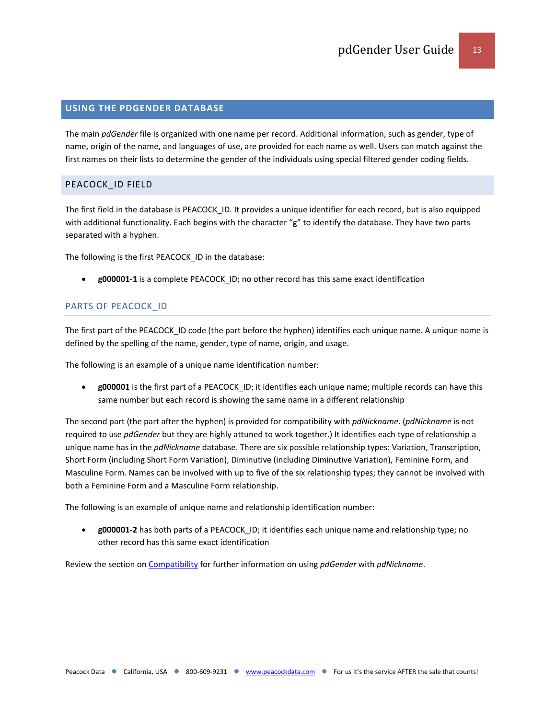# <span id="page-12-0"></span>**USING THE PDGENDER DATABASE**

The main *pdGender* file is organized with one name per record. Additional information, such as gender, type of name, origin of the name, and languages of use, are provided for each name as well. Users can match against the first names on their lists to determine the gender of the individuals using special filtered gender coding fields.

# <span id="page-12-1"></span>PEACOCK\_ID FIELD

The first field in the database is PEACOCK\_ID. It provides a unique identifier for each record, but is also equipped with additional functionality. Each begins with the character "g" to identify the database. They have two parts separated with a hyphen.

The following is the first PEACOCK\_ID in the database:

• **g000001-1** is a complete PEACOCK\_ID; no other record has this same exact identification

# PARTS OF PEACOCK\_ID

The first part of the PEACOCK ID code (the part before the hyphen) identifies each unique name. A unique name is defined by the spelling of the name, gender, type of name, origin, and usage.

The following is an example of a unique name identification number:

• **g000001** is the first part of a PEACOCK\_ID; it identifies each unique name; multiple records can have this same number but each record is showing the same name in a different relationship

The second part (the part after the hyphen) is provided for compatibility with *pdNickname*. (*pdNickname* is not required to use *pdGender* but they are highly attuned to work together.) It identifies each type of relationship a unique name has in the *pdNickname* database. There are six possible relationship types: Variation, Transcription, Short Form (including Short Form Variation), Diminutive (including Diminutive Variation), Feminine Form, and Masculine Form. Names can be involved with up to five of the six relationship types; they cannot be involved with both a Feminine Form and a Masculine Form relationship.

The following is an example of unique name and relationship identification number:

• **g000001-2** has both parts of a PEACOCK\_ID; it identifies each unique name and relationship type; no other record has this same exact identification

Review the section on [Compatibility](#page-20-1) for further information on using *pdGender* with *pdNickname*.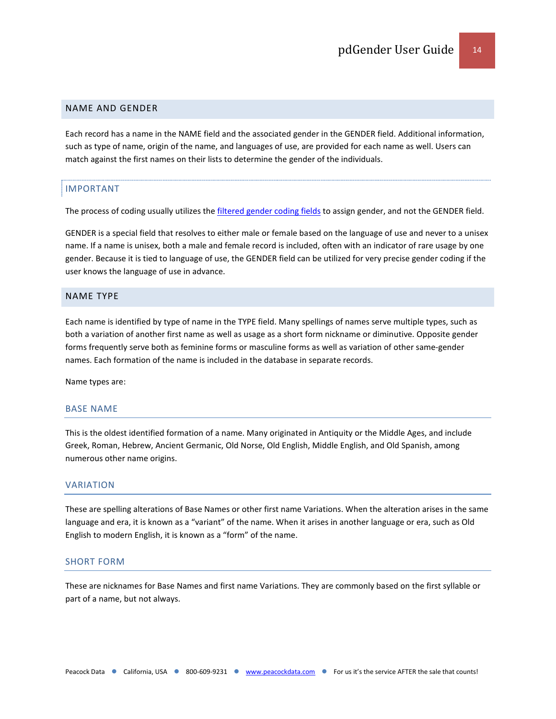#### <span id="page-13-0"></span>NAME AND GENDER

Each record has a name in the NAME field and the associated gender in the GENDER field. Additional information, such as type of name, origin of the name, and languages of use, are provided for each name as well. Users can match against the first names on their lists to determine the gender of the individuals.

#### IMPORTANT

The process of coding usually utilizes th[e filtered gender coding fields](#page-14-0) to assign gender, and not the GENDER field.

GENDER is a special field that resolves to either male or female based on the language of use and never to a unisex name. If a name is unisex, both a male and female record is included, often with an indicator of rare usage by one gender. Because it is tied to language of use, the GENDER field can be utilized for very precise gender coding if the user knows the language of use in advance.

# <span id="page-13-1"></span>NAME TYPE

Each name is identified by type of name in the TYPE field. Many spellings of names serve multiple types, such as both a variation of another first name as well as usage as a short form nickname or diminutive. Opposite gender forms frequently serve both as feminine forms or masculine forms as well as variation of other same-gender names. Each formation of the name is included in the database in separate records.

Name types are:

#### BASE NAME

This is the oldest identified formation of a name. Many originated in Antiquity or the Middle Ages, and include Greek, Roman, Hebrew, Ancient Germanic, Old Norse, Old English, Middle English, and Old Spanish, among numerous other name origins.

# VARIATION

These are spelling alterations of Base Names or other first name Variations. When the alteration arises in the same language and era, it is known as a "variant" of the name. When it arises in another language or era, such as Old English to modern English, it is known as a "form" of the name.

#### SHORT FORM

These are nicknames for Base Names and first name Variations. They are commonly based on the first syllable or part of a name, but not always.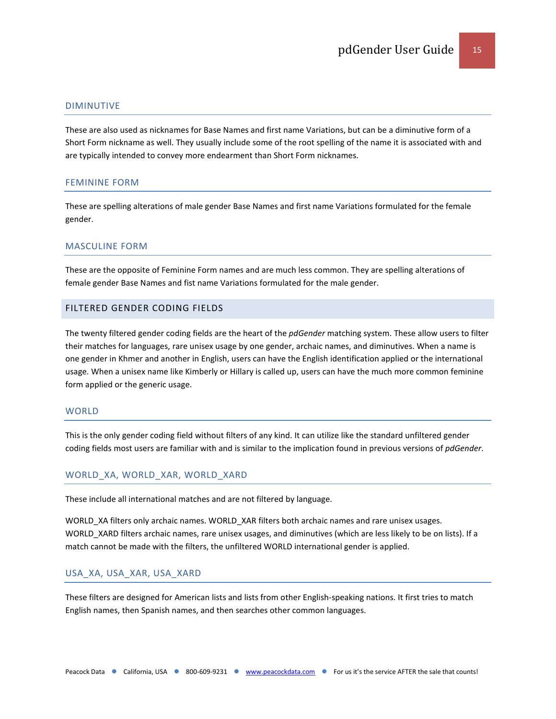#### DIMINUTIVE

These are also used as nicknames for Base Names and first name Variations, but can be a diminutive form of a Short Form nickname as well. They usually include some of the root spelling of the name it is associated with and are typically intended to convey more endearment than Short Form nicknames.

#### FEMININE FORM

These are spelling alterations of male gender Base Names and first name Variations formulated for the female gender.

#### MASCULINE FORM

These are the opposite of Feminine Form names and are much less common. They are spelling alterations of female gender Base Names and fist name Variations formulated for the male gender.

# <span id="page-14-0"></span>FILTERED GENDER CODING FIELDS

The twenty filtered gender coding fields are the heart of the *pdGender* matching system. These allow users to filter their matches for languages, rare unisex usage by one gender, archaic names, and diminutives. When a name is one gender in Khmer and another in English, users can have the English identification applied or the international usage. When a unisex name like Kimberly or Hillary is called up, users can have the much more common feminine form applied or the generic usage.

#### **WORLD**

This is the only gender coding field without filters of any kind. It can utilize like the standard unfiltered gender coding fields most users are familiar with and is similar to the implication found in previous versions of *pdGender*.

# WORLD\_XA, WORLD\_XAR, WORLD\_XARD

These include all international matches and are not filtered by language.

WORLD\_XA filters only archaic names. WORLD\_XAR filters both archaic names and rare unisex usages. WORLD\_XARD filters archaic names, rare unisex usages, and diminutives (which are less likely to be on lists). If a match cannot be made with the filters, the unfiltered WORLD international gender is applied.

# USA\_XA, USA\_XAR, USA\_XARD

These filters are designed for American lists and lists from other English-speaking nations. It first tries to match English names, then Spanish names, and then searches other common languages.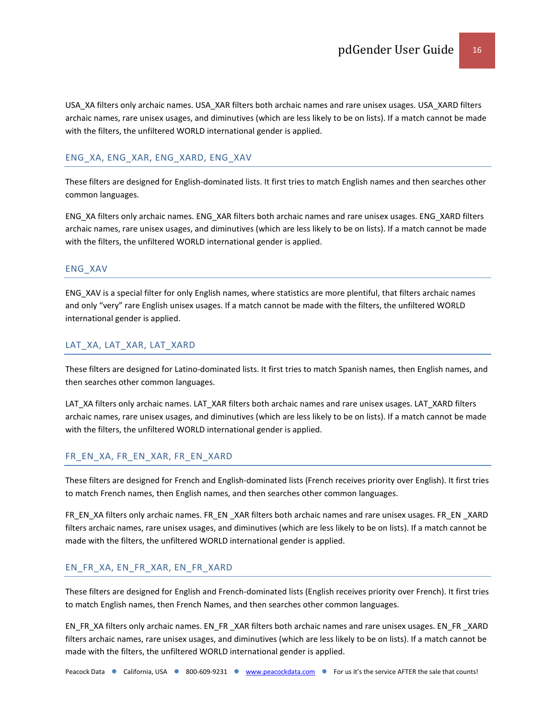USA\_XA filters only archaic names. USA\_XAR filters both archaic names and rare unisex usages. USA\_XARD filters archaic names, rare unisex usages, and diminutives (which are less likely to be on lists). If a match cannot be made with the filters, the unfiltered WORLD international gender is applied.

# ENG\_XA, ENG\_XAR, ENG\_XARD, ENG\_XAV

These filters are designed for English-dominated lists. It first tries to match English names and then searches other common languages.

ENG\_XA filters only archaic names. ENG\_XAR filters both archaic names and rare unisex usages. ENG\_XARD filters archaic names, rare unisex usages, and diminutives (which are less likely to be on lists). If a match cannot be made with the filters, the unfiltered WORLD international gender is applied.

# ENG\_XAV

ENG\_XAV is a special filter for only English names, where statistics are more plentiful, that filters archaic names and only "very" rare English unisex usages. If a match cannot be made with the filters, the unfiltered WORLD international gender is applied.

# LAT\_XA, LAT\_XAR, LAT\_XARD

These filters are designed for Latino-dominated lists. It first tries to match Spanish names, then English names, and then searches other common languages.

LAT\_XA filters only archaic names. LAT\_XAR filters both archaic names and rare unisex usages. LAT\_XARD filters archaic names, rare unisex usages, and diminutives (which are less likely to be on lists). If a match cannot be made with the filters, the unfiltered WORLD international gender is applied.

# FR\_EN\_XA, FR\_EN\_XAR, FR\_EN\_XARD

These filters are designed for French and English-dominated lists (French receives priority over English). It first tries to match French names, then English names, and then searches other common languages.

FR\_EN\_XA filters only archaic names. FR\_EN \_XAR filters both archaic names and rare unisex usages. FR\_EN \_XARD filters archaic names, rare unisex usages, and diminutives (which are less likely to be on lists). If a match cannot be made with the filters, the unfiltered WORLD international gender is applied.

#### EN\_FR\_XA, EN\_FR\_XAR, EN\_FR\_XARD

These filters are designed for English and French-dominated lists (English receives priority over French). It first tries to match English names, then French Names, and then searches other common languages.

EN\_FR\_XA filters only archaic names. EN\_FR \_XAR filters both archaic names and rare unisex usages. EN\_FR \_XARD filters archaic names, rare unisex usages, and diminutives (which are less likely to be on lists). If a match cannot be made with the filters, the unfiltered WORLD international gender is applied.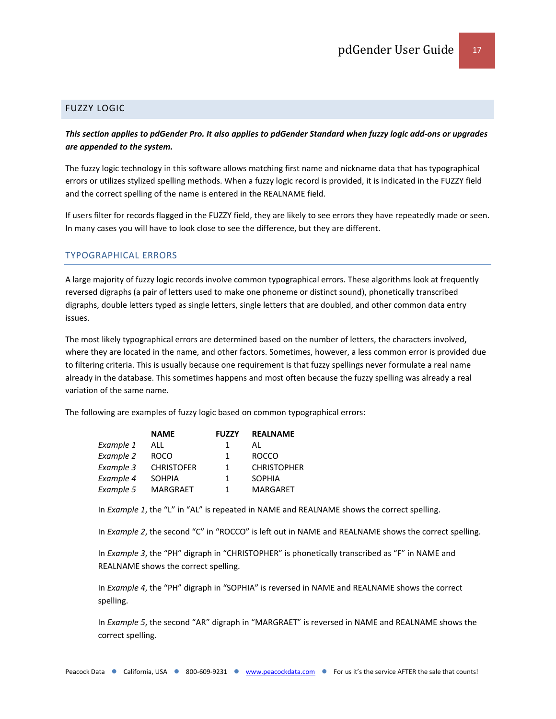#### <span id="page-16-0"></span>FUZZY LOGIC

# *This section applies to pdGender Pro. It also applies to pdGender Standard when fuzzy logic add-ons or upgrades are appended to the system.*

The fuzzy logic technology in this software allows matching first name and nickname data that has typographical errors or utilizes stylized spelling methods. When a fuzzy logic record is provided, it is indicated in the FUZZY field and the correct spelling of the name is entered in the REALNAME field.

If users filter for records flagged in the FUZZY field, they are likely to see errors they have repeatedly made or seen. In many cases you will have to look close to see the difference, but they are different.

# TYPOGRAPHICAL ERRORS

A large majority of fuzzy logic records involve common typographical errors. These algorithms look at frequently reversed digraphs (a pair of letters used to make one phoneme or distinct sound), phonetically transcribed digraphs, double letters typed as single letters, single letters that are doubled, and other common data entry issues.

The most likely typographical errors are determined based on the number of letters, the characters involved, where they are located in the name, and other factors. Sometimes, however, a less common error is provided due to filtering criteria. This is usually because one requirement is that fuzzy spellings never formulate a real name already in the database. This sometimes happens and most often because the fuzzy spelling was already a real variation of the same name.

The following are examples of fuzzy logic based on common typographical errors:

|           | <b>NAME</b>       | <b>FUZZY</b> | <b>REALNAME</b>    |
|-----------|-------------------|--------------|--------------------|
| Example 1 | ALL               |              | AL                 |
| Example 2 | <b>ROCO</b>       | 1            | <b>ROCCO</b>       |
| Example 3 | <b>CHRISTOFER</b> | 1            | <b>CHRISTOPHER</b> |
| Example 4 | <b>SOHPIA</b>     | 1            | <b>SOPHIA</b>      |
| Example 5 | <b>MARGRAET</b>   | 1            | <b>MARGARET</b>    |

In *Example 1*, the "L" in "AL" is repeated in NAME and REALNAME shows the correct spelling.

In *Example 2*, the second "C" in "ROCCO" is left out in NAME and REALNAME shows the correct spelling.

In *Example 3*, the "PH" digraph in "CHRISTOPHER" is phonetically transcribed as "F" in NAME and REALNAME shows the correct spelling.

In *Example 4*, the "PH" digraph in "SOPHIA" is reversed in NAME and REALNAME shows the correct spelling.

In *Example 5*, the second "AR" digraph in "MARGRAET" is reversed in NAME and REALNAME shows the correct spelling.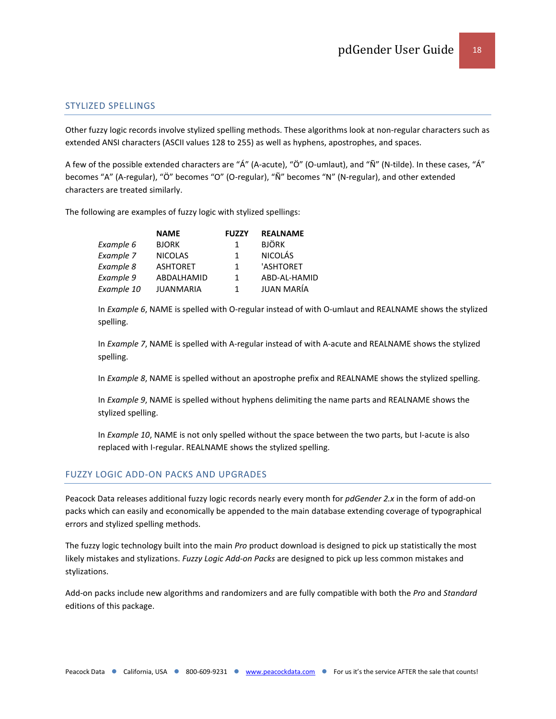# STYLIZED SPELLINGS

Other fuzzy logic records involve stylized spelling methods. These algorithms look at non-regular characters such as extended ANSI characters (ASCII values 128 to 255) as well as hyphens, apostrophes, and spaces.

A few of the possible extended characters are "Á" (A-acute), "Ö" (O-umlaut), and "Ñ" (N-tilde). In these cases, "Á" becomes "A" (A-regular), "Ö" becomes "O" (O-regular), "Ñ" becomes "N" (N-regular), and other extended characters are treated similarly.

The following are examples of fuzzy logic with stylized spellings:

|            | <b>NAME</b>      | <b>FUZZY</b> | <b>REALNAME</b>   |
|------------|------------------|--------------|-------------------|
| Example 6  | <b>BJORK</b>     | 1            | <b>BJÖRK</b>      |
| Example 7  | <b>NICOLAS</b>   | 1            | <b>NICOLÁS</b>    |
| Example 8  | <b>ASHTORET</b>  | 1            | 'ASHTORET         |
| Example 9  | ABDALHAMID       | 1            | ABD-AL-HAMID      |
| Example 10 | <b>JUANMARIA</b> | 1            | <b>JUAN MARÍA</b> |

In *Example 6*, NAME is spelled with O-regular instead of with O-umlaut and REALNAME shows the stylized spelling.

In *Example 7*, NAME is spelled with A-regular instead of with A-acute and REALNAME shows the stylized spelling.

In *Example 8*, NAME is spelled without an apostrophe prefix and REALNAME shows the stylized spelling.

In *Example 9*, NAME is spelled without hyphens delimiting the name parts and REALNAME shows the stylized spelling.

In *Example 10*, NAME is not only spelled without the space between the two parts, but I-acute is also replaced with I-regular. REALNAME shows the stylized spelling.

# FUZZY LOGIC ADD-ON PACKS AND UPGRADES

Peacock Data releases additional fuzzy logic records nearly every month for *pdGender 2.x* in the form of add-on packs which can easily and economically be appended to the main database extending coverage of typographical errors and stylized spelling methods.

The fuzzy logic technology built into the main *Pro* product download is designed to pick up statistically the most likely mistakes and stylizations. *Fuzzy Logic Add-on Packs* are designed to pick up less common mistakes and stylizations.

Add-on packs include new algorithms and randomizers and are fully compatible with both the *Pro* and *Standard* editions of this package.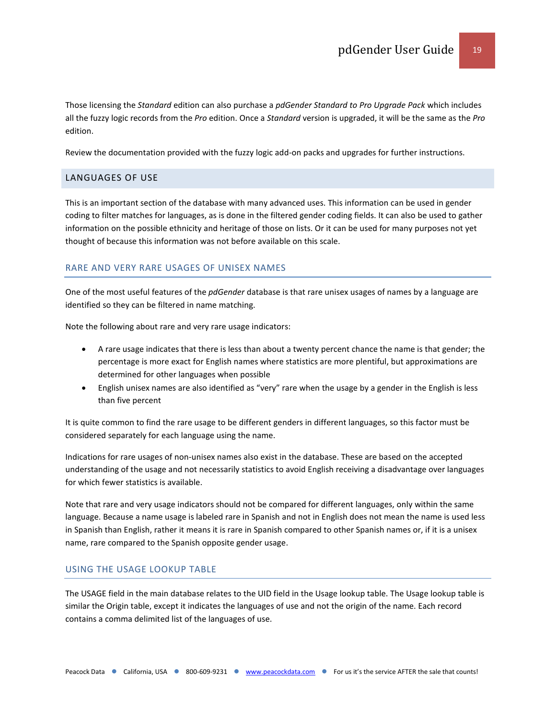Those licensing the *Standard* edition can also purchase a *pdGender Standard to Pro Upgrade Pack* which includes all the fuzzy logic records from the *Pro* edition. Once a *Standard* version is upgraded, it will be the same as the *Pro* edition.

Review the documentation provided with the fuzzy logic add-on packs and upgrades for further instructions.

# <span id="page-18-0"></span>LANGUAGES OF USE

This is an important section of the database with many advanced uses. This information can be used in gender coding to filter matches for languages, as is done in the filtered gender coding fields. It can also be used to gather information on the possible ethnicity and heritage of those on lists. Or it can be used for many purposes not yet thought of because this information was not before available on this scale.

#### RARE AND VERY RARE USAGES OF UNISEX NAMES

One of the most useful features of the *pdGender* database is that rare unisex usages of names by a language are identified so they can be filtered in name matching.

Note the following about rare and very rare usage indicators:

- A rare usage indicates that there is less than about a twenty percent chance the name is that gender; the percentage is more exact for English names where statistics are more plentiful, but approximations are determined for other languages when possible
- English unisex names are also identified as "very" rare when the usage by a gender in the English is less than five percent

It is quite common to find the rare usage to be different genders in different languages, so this factor must be considered separately for each language using the name.

Indications for rare usages of non-unisex names also exist in the database. These are based on the accepted understanding of the usage and not necessarily statistics to avoid English receiving a disadvantage over languages for which fewer statistics is available.

Note that rare and very usage indicators should not be compared for different languages, only within the same language. Because a name usage is labeled rare in Spanish and not in English does not mean the name is used less in Spanish than English, rather it means it is rare in Spanish compared to other Spanish names or, if it is a unisex name, rare compared to the Spanish opposite gender usage.

# USING THE USAGE LOOKUP TABLE

The USAGE field in the main database relates to the UID field in the Usage lookup table. The Usage lookup table is similar the Origin table, except it indicates the languages of use and not the origin of the name. Each record contains a comma delimited list of the languages of use.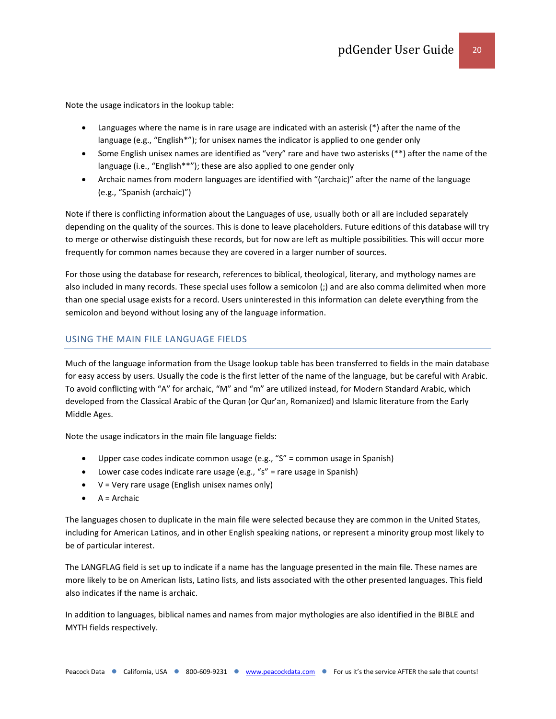Note the usage indicators in the lookup table:

- Languages where the name is in rare usage are indicated with an asterisk (\*) after the name of the language (e.g., "English\*"); for unisex names the indicator is applied to one gender only
- Some English unisex names are identified as "very" rare and have two asterisks (\*\*) after the name of the language (i.e., "English\*\*"); these are also applied to one gender only
- Archaic names from modern languages are identified with "(archaic)" after the name of the language (e.g., "Spanish (archaic)")

Note if there is conflicting information about the Languages of use, usually both or all are included separately depending on the quality of the sources. This is done to leave placeholders. Future editions of this database will try to merge or otherwise distinguish these records, but for now are left as multiple possibilities. This will occur more frequently for common names because they are covered in a larger number of sources.

For those using the database for research, references to biblical, theological, literary, and mythology names are also included in many records. These special uses follow a semicolon (;) and are also comma delimited when more than one special usage exists for a record. Users uninterested in this information can delete everything from the semicolon and beyond without losing any of the language information.

# USING THE MAIN FILE LANGUAGE FIELDS

Much of the language information from the Usage lookup table has been transferred to fields in the main database for easy access by users. Usually the code is the first letter of the name of the language, but be careful with Arabic. To avoid conflicting with "A" for archaic, "M" and "m" are utilized instead, for Modern Standard Arabic, which developed from the Classical Arabic of the Quran (or Qur'an, Romanized) and Islamic literature from the Early Middle Ages.

Note the usage indicators in the main file language fields:

- Upper case codes indicate common usage (e.g., "S" = common usage in Spanish)
- Lower case codes indicate rare usage (e.g., "s" = rare usage in Spanish)
- $\bullet$   $V = V$ ery rare usage (English unisex names only)
- A = Archaic

The languages chosen to duplicate in the main file were selected because they are common in the United States, including for American Latinos, and in other English speaking nations, or represent a minority group most likely to be of particular interest.

The LANGFLAG field is set up to indicate if a name has the language presented in the main file. These names are more likely to be on American lists, Latino lists, and lists associated with the other presented languages. This field also indicates if the name is archaic.

In addition to languages, biblical names and names from major mythologies are also identified in the BIBLE and MYTH fields respectively.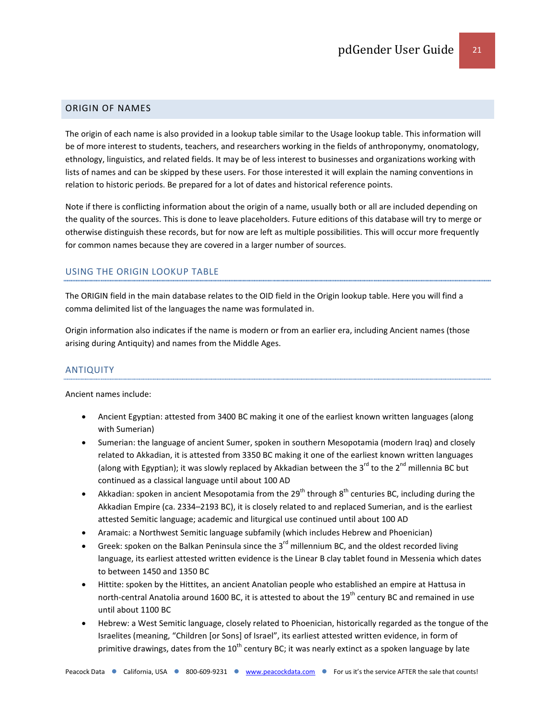# <span id="page-20-0"></span>ORIGIN OF NAMES

The origin of each name is also provided in a lookup table similar to the Usage lookup table. This information will be of more interest to students, teachers, and researchers working in the fields of anthroponymy, onomatology, ethnology, linguistics, and related fields. It may be of less interest to businesses and organizations working with lists of names and can be skipped by these users. For those interested it will explain the naming conventions in relation to historic periods. Be prepared for a lot of dates and historical reference points.

Note if there is conflicting information about the origin of a name, usually both or all are included depending on the quality of the sources. This is done to leave placeholders. Future editions of this database will try to merge or otherwise distinguish these records, but for now are left as multiple possibilities. This will occur more frequently for common names because they are covered in a larger number of sources.

# USING THE ORIGIN LOOKUP TABLE

The ORIGIN field in the main database relates to the OID field in the Origin lookup table. Here you will find a comma delimited list of the languages the name was formulated in.

<span id="page-20-1"></span>Origin information also indicates if the name is modern or from an earlier era, including Ancient names (those arising during Antiquity) and names from the Middle Ages.

#### ANTIQUITY

Ancient names include:

- Ancient Egyptian: attested from 3400 BC making it one of the earliest known written languages (along with Sumerian)
- Sumerian: the language of ancient Sumer, spoken in southern Mesopotamia (modern Iraq) and closely related to Akkadian, it is attested from 3350 BC making it one of the earliest known written languages (along with Egyptian); it was slowly replaced by Akkadian between the 3 $^{rd}$  to the 2 $^{nd}$  millennia BC but continued as a classical language until about 100 AD
- Akkadian: spoken in ancient Mesopotamia from the 29<sup>th</sup> through 8<sup>th</sup> centuries BC, including during the Akkadian Empire (ca. 2334–2193 BC), it is closely related to and replaced Sumerian, and is the earliest attested Semitic language; academic and liturgical use continued until about 100 AD
- Aramaic: a Northwest Semitic language subfamily (which includes Hebrew and Phoenician)
- Greek: spoken on the Balkan Peninsula since the 3<sup>rd</sup> millennium BC, and the oldest recorded living language, its earliest attested written evidence is the Linear B clay tablet found in Messenia which dates to between 1450 and 1350 BC
- Hittite: spoken by the Hittites, an ancient Anatolian people who established an empire at Hattusa in north-central Anatolia around 1600 BC, it is attested to about the  $19<sup>th</sup>$  century BC and remained in use until about 1100 BC
- Hebrew: a West Semitic language, closely related to Phoenician, historically regarded as the tongue of the Israelites (meaning, "Children [or Sons] of Israel", its earliest attested written evidence, in form of primitive drawings, dates from the  $10^{th}$  century BC; it was nearly extinct as a spoken language by late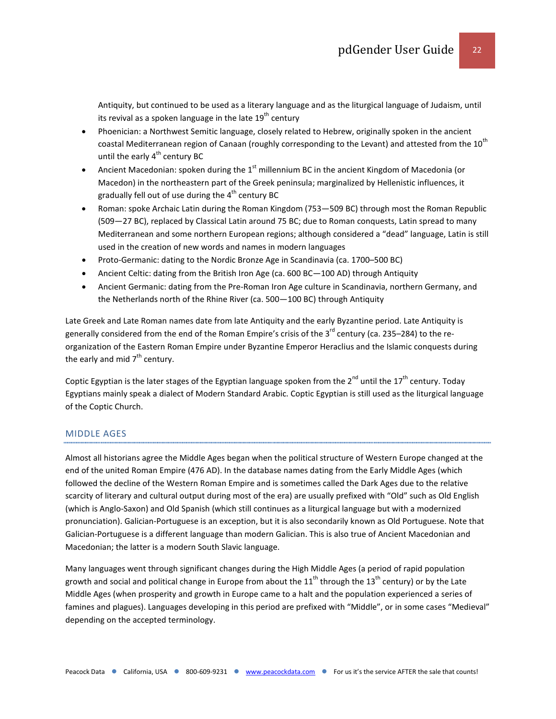Antiquity, but continued to be used as a literary language and as the liturgical language of Judaism, until its revival as a spoken language in the late  $19<sup>th</sup>$  century

- Phoenician: a Northwest Semitic language, closely related to Hebrew, originally spoken in the ancient coastal Mediterranean region of Canaan (roughly corresponding to the Levant) and attested from the 10<sup>th</sup> until the early  $4<sup>th</sup>$  century BC
- Ancient Macedonian: spoken during the  $1<sup>st</sup>$  millennium BC in the ancient Kingdom of Macedonia (or Macedon) in the northeastern part of the Greek peninsula; marginalized by Hellenistic influences, it gradually fell out of use during the  $4<sup>th</sup>$  century BC
- Roman: spoke Archaic Latin during the Roman Kingdom (753—509 BC) through most the Roman Republic (509—27 BC), replaced by Classical Latin around 75 BC; due to Roman conquests, Latin spread to many Mediterranean and some northern European regions; although considered a "dead" language, Latin is still used in the creation of new words and names in modern languages
- Proto-Germanic: dating to the Nordic Bronze Age in Scandinavia (ca. 1700–500 BC)
- Ancient Celtic: dating from the British Iron Age (ca. 600 BC-100 AD) through Antiquity
- Ancient Germanic: dating from the Pre-Roman Iron Age culture in Scandinavia, northern Germany, and the Netherlands north of the Rhine River (ca. 500—100 BC) through Antiquity

Late Greek and Late Roman names date from late Antiquity and the early Byzantine period. Late Antiquity is generally considered from the end of the Roman Empire's crisis of the 3<sup>rd</sup> century (ca. 235–284) to the reorganization of the Eastern Roman Empire under Byzantine Emperor Heraclius and the Islamic conquests during the early and mid  $7<sup>th</sup>$  century.

Coptic Egyptian is the later stages of the Egyptian language spoken from the  $2^{nd}$  until the  $17^{th}$  century. Todav Egyptians mainly speak a dialect of Modern Standard Arabic. Coptic Egyptian is still used as the liturgical language of the Coptic Church.

#### MIDDLE AGES

Almost all historians agree the Middle Ages began when the political structure of Western Europe changed at the end of the united Roman Empire (476 AD). In the database names dating from the Early Middle Ages (which followed the decline of the Western Roman Empire and is sometimes called the Dark Ages due to the relative scarcity of literary and cultural output during most of the era) are usually prefixed with "Old" such as Old English (which is Anglo-Saxon) and Old Spanish (which still continues as a liturgical language but with a modernized pronunciation). Galician-Portuguese is an exception, but it is also secondarily known as Old Portuguese. Note that Galician-Portuguese is a different language than modern Galician. This is also true of Ancient Macedonian and Macedonian; the latter is a modern South Slavic language.

Many languages went through significant changes during the High Middle Ages (a period of rapid population growth and social and political change in Europe from about the  $11<sup>th</sup>$  through the  $13<sup>th</sup>$  century) or by the Late Middle Ages (when prosperity and growth in Europe came to a halt and the population experienced a series of famines and plagues). Languages developing in this period are prefixed with "Middle", or in some cases "Medieval" depending on the accepted terminology.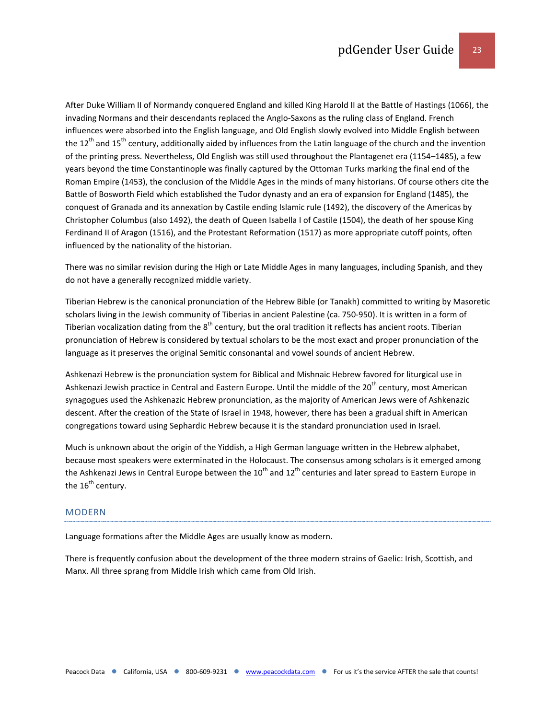After Duke William II of Normandy conquered England and killed King Harold II at the Battle of Hastings (1066), the invading Normans and their descendants replaced the Anglo-Saxons as the ruling class of England. French influences were absorbed into the English language, and Old English slowly evolved into Middle English between the 12<sup>th</sup> and 15<sup>th</sup> century, additionally aided by influences from the Latin language of the church and the invention of the printing press. Nevertheless, Old English was still used throughout the Plantagenet era (1154–1485), a few years beyond the time Constantinople was finally captured by the Ottoman Turks marking the final end of the Roman Empire (1453), the conclusion of the Middle Ages in the minds of many historians. Of course others cite the Battle of Bosworth Field which established the Tudor dynasty and an era of expansion for England (1485), the conquest of Granada and its annexation by Castile ending Islamic rule (1492), the discovery of the Americas by Christopher Columbus (also 1492), the death of Queen Isabella I of Castile (1504), the death of her spouse King Ferdinand II of Aragon (1516), and the Protestant Reformation (1517) as more appropriate cutoff points, often influenced by the nationality of the historian.

There was no similar revision during the High or Late Middle Ages in many languages, including Spanish, and they do not have a generally recognized middle variety.

Tiberian Hebrew is the canonical pronunciation of the Hebrew Bible (or Tanakh) committed to writing by Masoretic scholars living in the Jewish community of Tiberias in ancient Palestine (ca. 750-950). It is written in a form of Tiberian vocalization dating from the  $8<sup>th</sup>$  century, but the oral tradition it reflects has ancient roots. Tiberian pronunciation of Hebrew is considered by textual scholars to be the most exact and proper pronunciation of the language as it preserves the original Semitic consonantal and vowel sounds of ancient Hebrew.

Ashkenazi Hebrew is the pronunciation system for Biblical and Mishnaic Hebrew favored for liturgical use in Ashkenazi Jewish practice in Central and Eastern Europe. Until the middle of the 20<sup>th</sup> century, most American synagogues used the Ashkenazic Hebrew pronunciation, as the majority of American Jews were of Ashkenazic descent. After the creation of the State of Israel in 1948, however, there has been a gradual shift in American congregations toward using Sephardic Hebrew because it is the standard pronunciation used in Israel.

Much is unknown about the origin of the Yiddish, a High German language written in the Hebrew alphabet, because most speakers were exterminated in the Holocaust. The consensus among scholars is it emerged among the Ashkenazi Jews in Central Europe between the  $10<sup>th</sup>$  and  $12<sup>th</sup>$  centuries and later spread to Eastern Europe in the  $16^{th}$  century.

# MODERN

Language formations after the Middle Ages are usually know as modern.

There is frequently confusion about the development of the three modern strains of Gaelic: Irish, Scottish, and Manx. All three sprang from Middle Irish which came from Old Irish.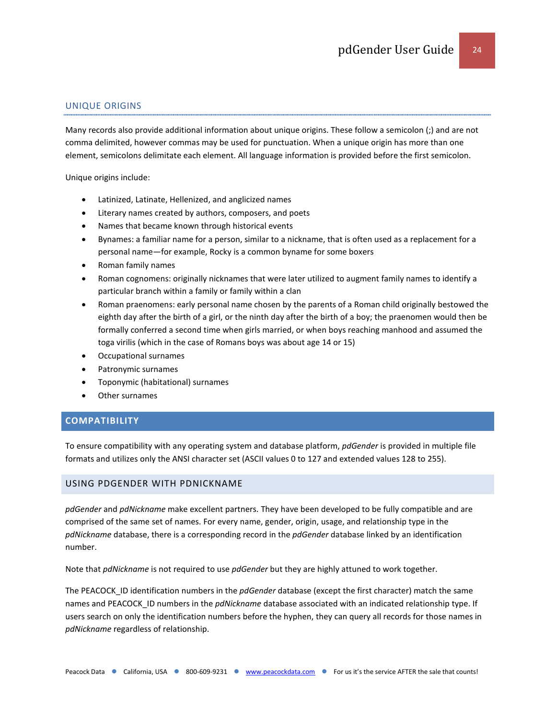# UNIQUE ORIGINS

Many records also provide additional information about unique origins. These follow a semicolon (;) and are not comma delimited, however commas may be used for punctuation. When a unique origin has more than one element, semicolons delimitate each element. All language information is provided before the first semicolon.

Unique origins include:

- Latinized, Latinate, Hellenized, and anglicized names
- Literary names created by authors, composers, and poets
- Names that became known through historical events
- Bynames: a familiar name for a person, similar to a nickname, that is often used as a replacement for a personal name—for example, Rocky is a common byname for some boxers
- Roman family names
- Roman cognomens: originally nicknames that were later utilized to augment family names to identify a particular branch within a family or family within a clan
- Roman praenomens: early personal name chosen by the parents of a Roman child originally bestowed the eighth day after the birth of a girl, or the ninth day after the birth of a boy; the praenomen would then be formally conferred a second time when girls married, or when boys reaching manhood and assumed the toga virilis (which in the case of Romans boys was about age 14 or 15)
- Occupational surnames
- Patronymic surnames
- Toponymic (habitational) surnames
- Other surnames

# <span id="page-23-0"></span>**COMPATIBILITY**

To ensure compatibility with any operating system and database platform, *pdGender* is provided in multiple file formats and utilizes only the ANSI character set (ASCII values 0 to 127 and extended values 128 to 255).

#### <span id="page-23-1"></span>USING PDGENDER WITH PDNICKNAME

*pdGender* and *pdNickname* make excellent partners. They have been developed to be fully compatible and are comprised of the same set of names. For every name, gender, origin, usage, and relationship type in the *pdNickname* database, there is a corresponding record in the *pdGender* database linked by an identification number.

Note that *pdNickname* is not required to use *pdGender* but they are highly attuned to work together.

The PEACOCK\_ID identification numbers in the *pdGender* database (except the first character) match the same names and PEACOCK\_ID numbers in the *pdNickname* database associated with an indicated relationship type. If users search on only the identification numbers before the hyphen, they can query all records for those names in *pdNickname* regardless of relationship.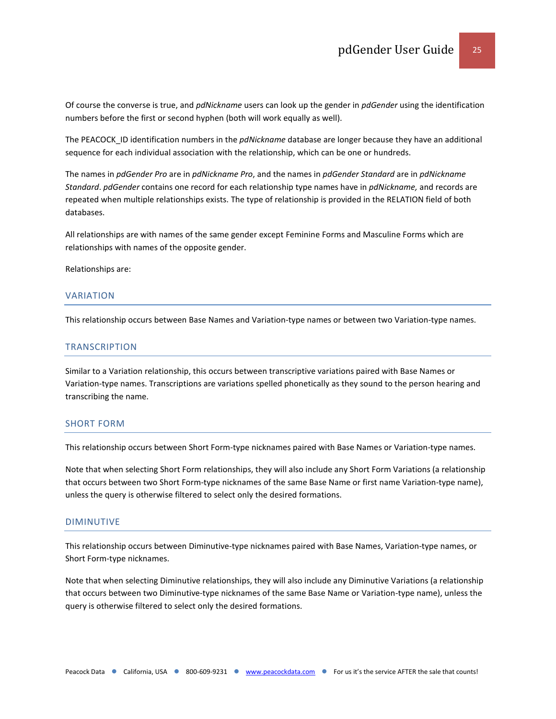Of course the converse is true, and *pdNickname* users can look up the gender in *pdGender* using the identification numbers before the first or second hyphen (both will work equally as well).

The PEACOCK\_ID identification numbers in the *pdNickname* database are longer because they have an additional sequence for each individual association with the relationship, which can be one or hundreds.

The names in *pdGender Pro* are in *pdNickname Pro*, and the names in *pdGender Standard* are in *pdNickname Standard*. *pdGender* contains one record for each relationship type names have in *pdNickname,* and records are repeated when multiple relationships exists. The type of relationship is provided in the RELATION field of both databases.

All relationships are with names of the same gender except Feminine Forms and Masculine Forms which are relationships with names of the opposite gender.

Relationships are:

#### VARIATION

This relationship occurs between Base Names and Variation-type names or between two Variation-type names.

#### **TRANSCRIPTION**

Similar to a Variation relationship, this occurs between transcriptive variations paired with Base Names or Variation-type names. Transcriptions are variations spelled phonetically as they sound to the person hearing and transcribing the name.

#### SHORT FORM

This relationship occurs between Short Form-type nicknames paired with Base Names or Variation-type names.

Note that when selecting Short Form relationships, they will also include any Short Form Variations (a relationship that occurs between two Short Form-type nicknames of the same Base Name or first name Variation-type name), unless the query is otherwise filtered to select only the desired formations.

#### DIMINUTIVE

This relationship occurs between Diminutive-type nicknames paired with Base Names, Variation-type names, or Short Form-type nicknames.

Note that when selecting Diminutive relationships, they will also include any Diminutive Variations (a relationship that occurs between two Diminutive-type nicknames of the same Base Name or Variation-type name), unless the query is otherwise filtered to select only the desired formations.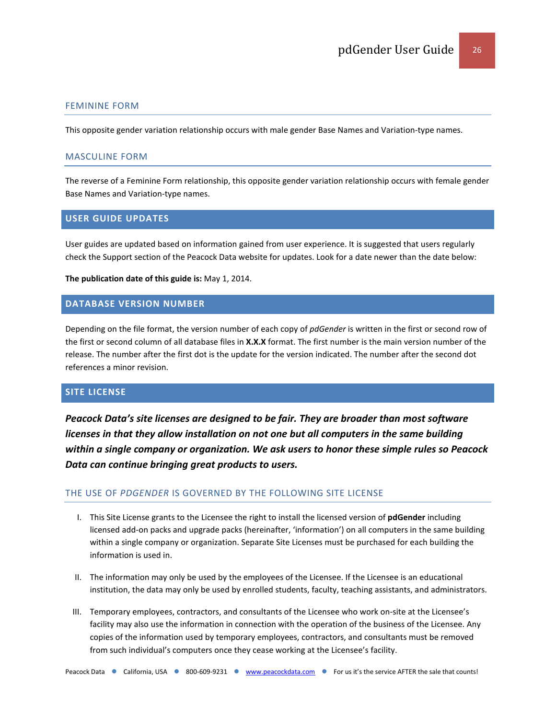#### FEMININE FORM

This opposite gender variation relationship occurs with male gender Base Names and Variation-type names.

#### MASCULINE FORM

The reverse of a Feminine Form relationship, this opposite gender variation relationship occurs with female gender Base Names and Variation-type names.

# <span id="page-25-0"></span>**USER GUIDE UPDATES**

User guides are updated based on information gained from user experience. It is suggested that users regularly check the Support section of the Peacock Data website for updates. Look for a date newer than the date below:

**The publication date of this guide is:** May 1, 2014.

# <span id="page-25-1"></span>**DATABASE VERSION NUMBER**

Depending on the file format, the version number of each copy of *pdGender* is written in the first or second row of the first or second column of all database files in **X.X.X** format. The first number is the main version number of the release. The number after the first dot is the update for the version indicated. The number after the second dot references a minor revision.

# <span id="page-25-2"></span>**SITE LICENSE**

*Peacock Data's site licenses are designed to be fair. They are broader than most software licenses in that they allow installation on not one but all computers in the same building within a single company or organization. We ask users to honor these simple rules so Peacock Data can continue bringing great products to users.*

#### THE USE OF *PDGENDER* IS GOVERNED BY THE FOLLOWING SITE LICENSE

- I. This Site License grants to the Licensee the right to install the licensed version of **pdGender** including licensed add-on packs and upgrade packs (hereinafter, 'information') on all computers in the same building within a single company or organization. Separate Site Licenses must be purchased for each building the information is used in.
- II. The information may only be used by the employees of the Licensee. If the Licensee is an educational institution, the data may only be used by enrolled students, faculty, teaching assistants, and administrators.
- III. Temporary employees, contractors, and consultants of the Licensee who work on-site at the Licensee's facility may also use the information in connection with the operation of the business of the Licensee. Any copies of the information used by temporary employees, contractors, and consultants must be removed from such individual's computers once they cease working at the Licensee's facility.